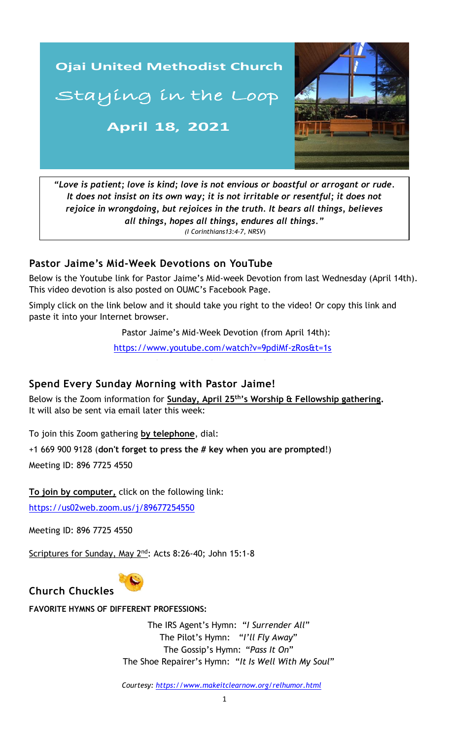

*"Love is patient; love is kind; love is not envious or boastful or arrogant or rude. It does not insist on its own way; it is not irritable or resentful; it does not rejoice in wrongdoing, but rejoices in the truth. It bears all things, believes all things, hopes all things, endures all things." (I Corinthians13:4-7, NRSV*)

#### **Pastor Jaime's Mid-Week Devotions on YouTube**

Below is the Youtube link for Pastor Jaime's Mid-week Devotion from last Wednesday (April 14th). This video devotion is also posted on OUMC's Facebook Page.

Simply click on the link below and it should take you right to the video! Or copy this link and paste it into your Internet browser.

Pastor Jaime's Mid-Week Devotion (from April 14th):

<https://www.youtube.com/watch?v=9pdiMf-zRos&t=1s>

# **Spend Every Sunday Morning with Pastor Jaime!**

Below is the Zoom information for **Sunday, April 25th's Worship & Fellowship gathering.** It will also be sent via email later this week:

To join this Zoom gathering **by telephone**, dial:

+1 669 900 9128 (**don't forget to press the # key when you are prompted**!)

Meeting ID: 896 7725 4550

**To join by computer,** click on the following link:

<https://us02web.zoom.us/j/89677254550>

Meeting ID: 896 7725 4550

Scriptures for Sunday, May 2<sup>nd</sup>: Acts 8:26-40; John 15:1-8



# **FAVORITE HYMNS OF DIFFERENT PROFESSIONS:**

The IRS Agent's Hymn: "*I Surrender All*" The Pilot's Hymn: "*I'll Fly Away*" The Gossip's Hymn: "*Pass It On*" The Shoe Repairer's Hymn: "*It Is Well With My Soul*"

*Courtesy:<https://www.makeitclearnow.org/relhumor.html>*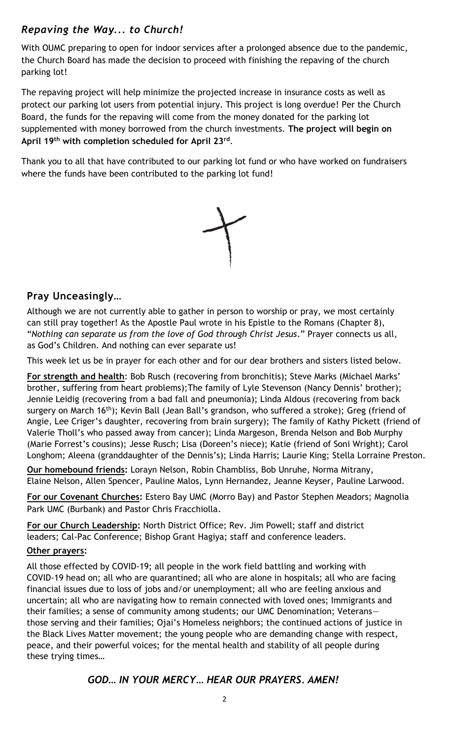# *Repaving the Way... to Church!*

With OUMC preparing to open for indoor services after a prolonged absence due to the pandemic, the Church Board has made the decision to proceed with finishing the repaving of the church parking lot!

 The repaving project will help minimize the projected increase in insurance costs as well as protect our parking lot users from potential injury. This project is long overdue! Per the Church Board, the funds for the repaving will come from the money donated for the parking lot supplemented with money borrowed from the church investments. **The project will begin on April 19th with completion scheduled for April 23rd** .

Thank you to all that have contributed to our parking lot fund or who have worked on fundraisers where the funds have been contributed to the parking lot fund!



# **Pray Unceasingly…**

Although we are not currently able to gather in person to worship or pray, we most certainly can still pray together! As the Apostle Paul wrote in his Epistle to the Romans (Chapter 8), "*Nothing can separate us from the love of God through Christ Jesus*." Prayer connects us all, as God's Children. And nothing can ever separate us!

This week let us be in prayer for each other and for our dear brothers and sisters listed below.

**For strength and health**: Bob Rusch (recovering from bronchitis); Steve Marks (Michael Marks' brother, suffering from heart problems);The family of Lyle Stevenson (Nancy Dennis' brother); Jennie Leidig (recovering from a bad fall and pneumonia); Linda Aldous (recovering from back surgery on March 16<sup>th</sup>); Kevin Ball (Jean Ball's grandson, who suffered a stroke); Greg (friend of Angie, Lee Criger's daughter, recovering from brain surgery); The family of Kathy Pickett (friend of Valerie Tholl's who passed away from cancer); Linda Margeson, Brenda Nelson and Bob Murphy (Marie Forrest's cousins); Jesse Rusch; Lisa (Doreen's niece); Katie (friend of Soni Wright); Carol Longhom; Aleena (granddaughter of the Dennis's); Linda Harris; Laurie King; Stella Lorraine Preston.

**Our homebound friends:** Lorayn Nelson, Robin Chambliss, Bob Unruhe, Norma Mitrany, Elaine Nelson, Allen Spencer, Pauline Malos, Lynn Hernandez, Jeanne Keyser, Pauline Larwood.

**For our Covenant Churches:** Estero Bay UMC (Morro Bay) and Pastor Stephen Meadors; Magnolia Park UMC (Burbank) and Pastor Chris Fracchiolla.

**For our Church Leadership:** North District Office; Rev. Jim Powell; staff and district leaders; Cal-Pac Conference; Bishop Grant Hagiya; staff and conference leaders.

#### **Other prayers:**

uncertain; all who are navigating how to remain connected with loved ones; Immigrants and All those effected by COVID-19; all people in the work field battling and working with COVID-19 head on; all who are quarantined; all who are alone in hospitals; all who are facing financial issues due to loss of jobs and/or unemployment; all who are feeling anxious and their families; a sense of community among students; our UMC Denomination; Veterans those serving and their families; Ojai's Homeless neighbors; the continued actions of justice in the Black Lives Matter movement; the young people who are demanding change with respect, peace, and their powerful voices; for the mental health and stability of all people during these trying times…

#### *GOD… IN YOUR MERCY… HEAR OUR PRAYERS. AMEN!*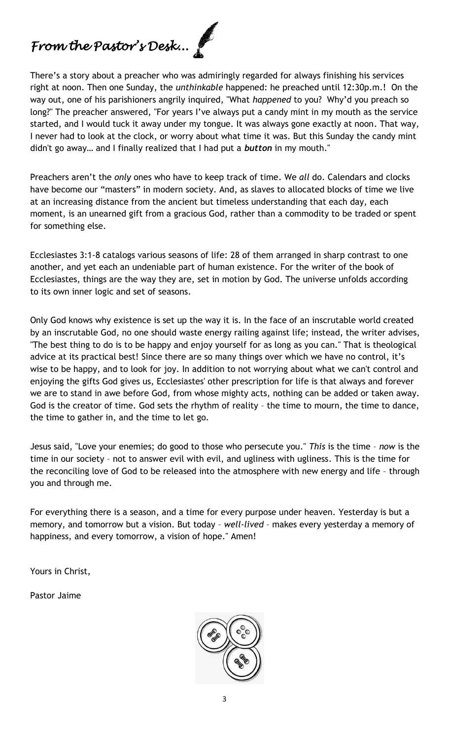# *From the Pastor's Desk...*

There's a story about a preacher who was admiringly regarded for always finishing his services right at noon. Then one Sunday, the *unthinkable* happened: he preached until 12:30p.m.! On the way out, one of his parishioners angrily inquired, "What *happened* to you? Why'd you preach so long?" The preacher answered, "For years I've always put a candy mint in my mouth as the service started, and I would tuck it away under my tongue. It was always gone exactly at noon. That way, I never had to look at the clock, or worry about what time it was. But this Sunday the candy mint didn't go away… and I finally realized that I had put a *button* in my mouth."

Preachers aren't the *only* ones who have to keep track of time. We *all* do. Calendars and clocks have become our "masters" in modern society. And, as slaves to allocated blocks of time we live at an increasing distance from the ancient but timeless understanding that each day, each moment, is an unearned gift from a gracious God, rather than a commodity to be traded or spent for something else.

Ecclesiastes 3:1-8 catalogs various seasons of life: 28 of them arranged in sharp contrast to one another, and yet each an undeniable part of human existence. For the writer of the book of Ecclesiastes, things are the way they are, set in motion by God. The universe unfolds according to its own inner logic and set of seasons.

Only God knows why existence is set up the way it is. In the face of an inscrutable world created by an inscrutable God, no one should waste energy railing against life; instead, the writer advises, "The best thing to do is to be happy and enjoy yourself for as long as you can." That is theological advice at its practical best! Since there are so many things over which we have no control, it's wise to be happy, and to look for joy. In addition to not worrying about what we can't control and enjoying the gifts God gives us, Ecclesiastes' other prescription for life is that always and forever we are to stand in awe before God, from whose mighty acts, nothing can be added or taken away. God is the creator of time. God sets the rhythm of reality – the time to mourn, the time to dance, the time to gather in, and the time to let go.

Jesus said, "Love your enemies; do good to those who persecute you." *This* is the time – *now* is the time in our society – not to answer evil with evil, and ugliness with ugliness. This is the time for the reconciling love of God to be released into the atmosphere with new energy and life – through you and through me.

For everything there is a season, and a time for every purpose under heaven. Yesterday is but a memory, and tomorrow but a vision. But today – *well-lived* – makes every yesterday a memory of happiness, and every tomorrow, a vision of hope." Amen!

Yours in Christ,

Pastor Jaime